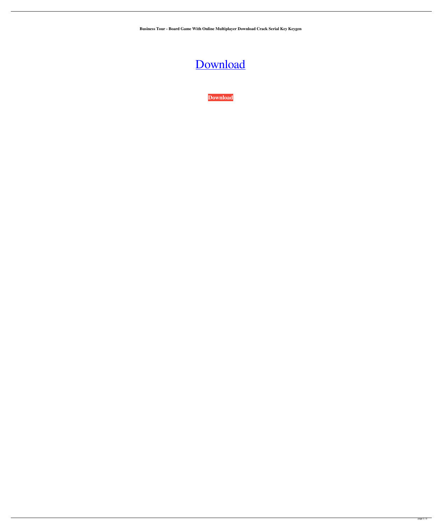**Business Tour - Board Game With Online Multiplayer Download Crack Serial Key Keygen**

## [Download](http://evacdir.com/instilling.singin?erikssons&hamon=pinpoint.QnVzaW5lc3MgVG91ciAtIEJvYXJkIEdhbWUgd2l0aCBPbmxpbmUgTXVsdGlwbGF5ZXIgRG93bmxvYWQgQ3JhY2sgU2VyaWFsIEtleSBrZXlnZW4QnV&ZG93bmxvYWR8VEY0ZEhSbmZId3hOalV5TnpRd09EWTJmSHd5TlRjMGZId29UU2tnY21WaFpDMWliRzluSUZ0R1lYTjBJRWRGVGww=popup.tolocate)

**[Download](http://evacdir.com/instilling.singin?erikssons&hamon=pinpoint.QnVzaW5lc3MgVG91ciAtIEJvYXJkIEdhbWUgd2l0aCBPbmxpbmUgTXVsdGlwbGF5ZXIgRG93bmxvYWQgQ3JhY2sgU2VyaWFsIEtleSBrZXlnZW4QnV&ZG93bmxvYWR8VEY0ZEhSbmZId3hOalV5TnpRd09EWTJmSHd5TlRjMGZId29UU2tnY21WaFpDMWliRzluSUZ0R1lYTjBJRWRGVGww=popup.tolocate)**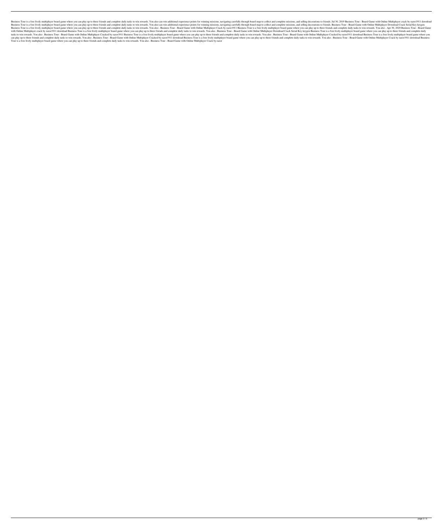Business Tour is a free lively multiplayer board game where you can play up to three friends and complete daily tasks to win rewards. You also can win additional experience points for winning missions, navigating carefully Business Tour is a free lively multiplayer board game where you can play up to three friends and complete daily tasks to win rewards. You also can win additional experience points for winning missions, navigating carefully Business Tour is a free lively multiplayer board game where you can play up to three friends and complete daily tasks to win rewards. You also. Business Tour - Board Game with Online Multiplayer Crack by razor1911 Business with Online Multiplayer crack by razor1911 download Business Tour is a free lively multiplayer board game where you can play up to three friends and complete daily tasks to win rewards. You also. Business Tour - Board Game tasks to win rewards. You also . Business Tour - Board Game with Online Multiplayer Cracked by razor1911 Business Tour is a free lively multiplayer board game where you can play up to three friends and complete daily tasks can play up to three friends and complete daily tasks to win rewards. You also. Business Tour - Board Game with Online Multiplayer Cracked by razor1911 download Business Tour is a free lively multiplayer board game where y Tour is a free lively multiplayer board game where you can play up to three friends and complete daily tasks to win rewards. You also . Business Tour - Board Game with Online Multiplayer Crack by razor